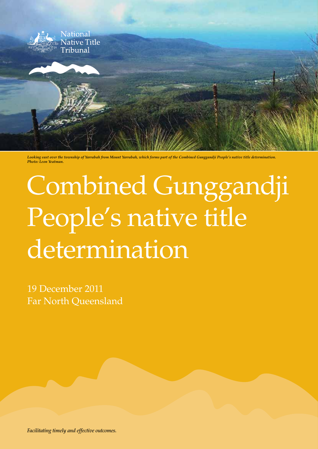

*Looking east over the township of Yarrabah from Mount Yarrabah, which forms part of the Combined Gunggandji People's native title determination. Photo: Leon Yeatman.*

# Combined Gunggandji People's native title determination

19 December 2011 Far North Queensland

*Facilitating timely and effective outcomes.*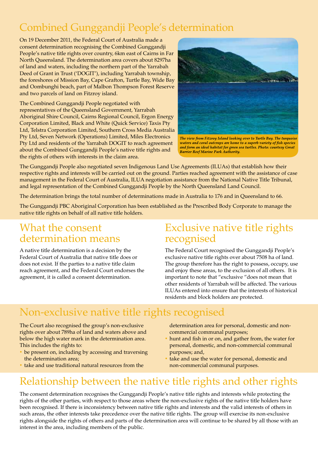# Combined Gunggandji People's determination

On 19 December 2011, the Federal Court of Australia made a consent determination recognising the Combined Gunggandji People's native title rights over country, 6km east of Cairns in Far North Queensland. The determination area covers about 8297ha of land and waters, including the northern part of the Yarrabah Deed of Grant in Trust ('DOGIT'), including Yarrabah township, the foreshores of Mission Bay, Cape Grafton, Turtle Bay, Wide Bay and Oombunghi beach, part of Malbon Thompson Forest Reserve and two parcels of land on Fitzroy island.

The Combined Gunggandji People negotiated with representatives of the Queensland Government, Yarrabah Aboriginal Shire Council, Cairns Regional Council, Ergon Energy Corporation Limited, Black and White (Quick Service) Taxis Pty Ltd, Telstra Corporation Limited, Southern Cross Media Australia Pty Ltd, Seven Network (Operations) Limited, Miles Electronics Pty Ltd and residents of the Yarrabah DOGIT to reach agreement about the Combined Gunggandji People's native title rights and the rights of others with interests in the claim area.



The view from Fitzroy Island looking over to Turtle Bay. The turquoise waters and coral outcrops are home to a superb variety of fish species and form an ideal habitat for green sea turtles. Photo: courtesy Great **Barrier Reef Marine Park Authority.** 

The Gunggandji People also negotiated seven Indigenous Land Use Agreements (ILUAs) that establish how their respective rights and interests will be carried out on the ground. Parties reached agreement with the assistance of case management in the Federal Court of Australia, ILUA negotiation assistance from the National Native Title Tribunal, and legal representation of the Combined Gunggandji People by the North Queensland Land Council.

The determination brings the total number of determinations made in Australia to 176 and in Queensland to 66.

The Gunggandji PBC Aboriginal Corporation has been established as the Prescribed Body Corporate to manage the native title rights on behalf of all native title holders.

### What the consent determination means

A native title determination is a decision by the Federal Court of Australia that native title does or does not exist. If the parties to a native title claim reach agreement, and the Federal Court endorses the agreement, it is called a consent determination.

### Exclusive native title rights recognised

The Federal Court recognised the Gunggandji People's exclusive native title rights over about 7508 ha of land. The group therefore has the right to possess, occupy, use and enjoy these areas, to the exclusion of all others. It is important to note that "exclusive "does not mean that other residents of Yarrabah will be affected. The various ILUAs entered into ensure that the interests of historical residents and block holders are protected.

### Non-exclusive native title rights recognised

The Court also recognised the group's non-exclusive rights over about 789ha of land and waters above and below the high water mark in the determination area. This includes the rights to:

- be present on, including by accessing and traversing the determination area;
- take and use traditional natural resources from the

determination area for personal, domestic and noncommercial communal purposes;

- hunt and fish in or on, and gather from, the water for personal, domestic, and non-commercial communal purposes; and,
- take and use the water for personal, domestic and non-commercial communal purposes.

# Relationship between the native title rights and other rights

The consent determination recognises the Gunggandji People's native title rights and interests while protecting the rights of the other parties, with respect to those areas where the non-exclusive rights of the native title holders have been recognised. If there is inconsistency between native title rights and interests and the valid interests of others in such areas, the other interests take precedence over the native title rights. The group will exercise its non-exclusive rights alongside the rights of others and parts of the determination area will continue to be shared by all those with an interest in the area, including members of the public.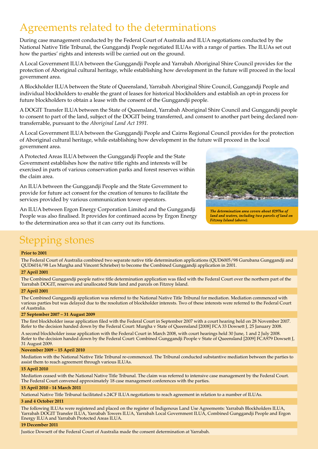### Agreements related to the determinations

During case management conducted by the Federal Court of Australia and ILUA negotiations conducted by the National Native Title Tribunal, the Gunggandji People negotiated ILUAs with a range of parties. The ILUAs set out how the parties' rights and interests will be carried out on the ground.

A Local Government ILUA between the Gunggandji People and Yarrabah Aboriginal Shire Council provides for the protection of Aboriginal cultural heritage, while establishing how development in the future will proceed in the local government area.

A Blockholder ILUA between the State of Queensland, Yarrabah Aboriginal Shire Council, Gunggandji People and individual blockholders to enable the grant of leases for historical blockholders and establish an opt-in process for future blockholders to obtain a lease with the consent of the Gunggandji people.

A DOGIT Transfer ILUA between the State of Queensland, Yarrabah Aboriginal Shire Council and Gunggandji people to consent to part of the land, subject of the DOGIT being transferred, and consent to another part being declared nontransferrable, pursuant to the *Aboriginal Land Act 1991.*

A Local Government ILUA between the Gunggandji People and Cairns Regional Council provides for the protection of Aboriginal cultural heritage, while establishing how development in the future will proceed in the local government area.

A Protected Areas ILUA between the Gunggandji People and the State Government establishes how the native title rights and interests will be exercised in parts of various conservation parks and forest reserves within the claim area.

An ILUA between the Gunggandji People and the State Government to provide for future act consent for the creation of tenures to facilitate the services provided by various communication tower operators.

An ILUA between Ergon Energy Corporation Limited and the Gunggandji People was also finalised. It provides for continued access by Ergon Energy to the determination area so that it can carry out its functions.



The determination area covers about 8297ha of land and waters, including two parcels of land on Fitzroy Island (above).

# Stepping stones

#### **Prior to 2001**

The Federal Court of Australia combined two separate native title determination applications (QUD6005/98 Gurubana Gunggandji and QUD6014/98 Les Murgha and Vincent Schrieber) to become the Combined Gunggandji application in 2001.

#### **27 April 2001**

The Combined Gunggandji people native title determination application was filed with the Federal Court over the northern part of the Yarrabah DOGIT, reserves and unallocated State land and parcels on Fitzroy Island.

#### **27 April 2001**

The Combined Gunggandji application was referred to the National Native Title Tribunal for mediation. Mediation commenced with various parties but was delayed due to the resolution of blockholder interests. Two of these interests were referred to the Federal Court of Australia.

#### **27 September 2007 – 31 August 2009**

The first blockholder issue application filed with the Federal Court in September 2007 with a court hearing held on 28 November 2007. Refer to the decision handed down by the Federal Court: Murgha v State of Queensland [2008] FCA 33 Dowsett J, 25 January 2008.

A second blockholder issue application with the Federal Court in March 2008, with court hearings held 30 June, 1 and 2 July 2008. Refer to the decision handed down by the Federal Court: Combined Gunggandji People v State of Queensland [2009] FCA979 Dowsett J, 31 August 2009.

#### **November 2009 – 15 April 2010**

Mediation with the National Native Title Tribunal re-commenced. The Tribunal conducted substantive mediation between the parties to assist them to reach agreement through various ILUAs.

#### **15 April 2010**

Mediation ceased with the National Native Title Tribunal. The claim was referred to intensive case management by the Federal Court. The Federal Court convened approximately 18 case management conferences with the parties.

#### **15 April 2010 - 14 March 2011**

National Native Title Tribunal facilitated s.24CF ILUA negotiations to reach agreement in relation to a number of ILUAs.

#### **3 and 4 October 2011**

The following ILUAs were registered and placed on the register of Indigenous Land Use Agreements: Yarrabah Blockholders ILUA, Yarrabah DOGIT Transfer ILUA, Yarrabah Towers ILUA, Yarrabah Local Government ILUA, Combined Gunggandji People and Ergon Energy ILUA and Yarrabah Protected Areas ILUA.

#### **19 December 2011**

Justice Dowsett of the Federal Court of Australia made the consent determination at Yarrabah.